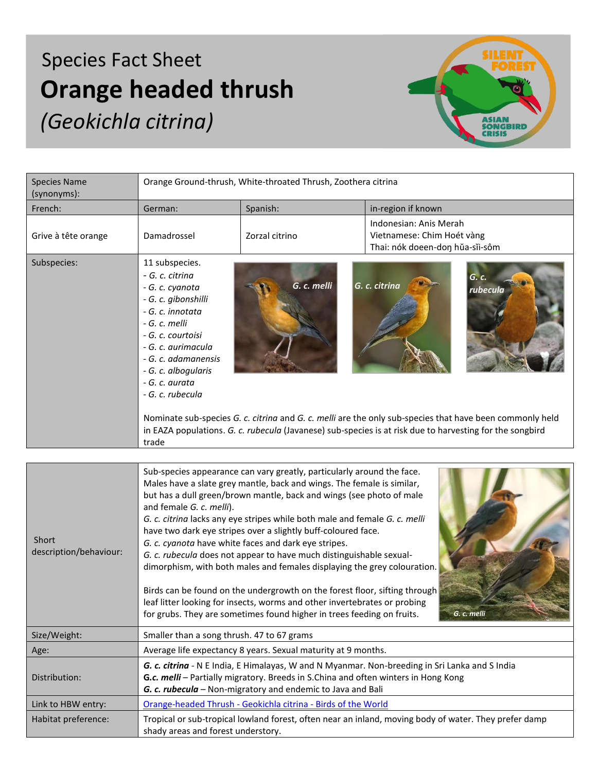## Species Fact Sheet **Orange headed thrush** *(Geokichla citrina)*



| <b>Species Name</b><br>(synonyms): | Orange Ground-thrush, White-throated Thrush, Zoothera citrina                                                                                                                                                                                                                                                                                                                                                                                                                                                                         |                |                                                                                         |
|------------------------------------|---------------------------------------------------------------------------------------------------------------------------------------------------------------------------------------------------------------------------------------------------------------------------------------------------------------------------------------------------------------------------------------------------------------------------------------------------------------------------------------------------------------------------------------|----------------|-----------------------------------------------------------------------------------------|
| French:                            | German:                                                                                                                                                                                                                                                                                                                                                                                                                                                                                                                               | Spanish:       | in-region if known                                                                      |
| Grive à tête orange                | Damadrossel                                                                                                                                                                                                                                                                                                                                                                                                                                                                                                                           | Zorzal citrino | Indonesian: Anis Merah<br>Vietnamese: Chim Hoét vàng<br>Thai: nók doeen-don hŭa-sĭi-sôm |
| Subspecies:                        | 11 subspecies.<br>- G. c. citrina<br>G. c.<br>G. c. citrina<br>G. c. melli<br>- G. c. cyanota<br>rubecula<br>- G. c. gibonshilli<br>- G. c. innotata<br>- G. c. melli<br>- G. c. courtoisi<br>- G. c. aurimacula<br>- G. c. adamanensis<br>- G. c. albogularis<br>- G. c. aurata<br>- G. c. rubecula<br>Nominate sub-species G. c. citrina and G. c. melli are the only sub-species that have been commonly held<br>in EAZA populations. G. c. rubecula (Javanese) sub-species is at risk due to harvesting for the songbird<br>trade |                |                                                                                         |
|                                    |                                                                                                                                                                                                                                                                                                                                                                                                                                                                                                                                       |                |                                                                                         |

| Short<br>description/behaviour: | Sub-species appearance can vary greatly, particularly around the face.<br>Males have a slate grey mantle, back and wings. The female is similar,<br>but has a dull green/brown mantle, back and wings (see photo of male<br>and female G. c. melli).<br>G. c. citrina lacks any eye stripes while both male and female G. c. melli<br>have two dark eye stripes over a slightly buff-coloured face.<br>G. c. cyanota have white faces and dark eye stripes.<br>G. c. rubecula does not appear to have much distinguishable sexual-<br>dimorphism, with both males and females displaying the grey colouration.<br>Birds can be found on the undergrowth on the forest floor, sifting through<br>leaf litter looking for insects, worms and other invertebrates or probing<br>for grubs. They are sometimes found higher in trees feeding on fruits.<br>G. c. melli |  |  |  |
|---------------------------------|--------------------------------------------------------------------------------------------------------------------------------------------------------------------------------------------------------------------------------------------------------------------------------------------------------------------------------------------------------------------------------------------------------------------------------------------------------------------------------------------------------------------------------------------------------------------------------------------------------------------------------------------------------------------------------------------------------------------------------------------------------------------------------------------------------------------------------------------------------------------|--|--|--|
| Size/Weight:                    | Smaller than a song thrush. 47 to 67 grams                                                                                                                                                                                                                                                                                                                                                                                                                                                                                                                                                                                                                                                                                                                                                                                                                         |  |  |  |
| Age:                            | Average life expectancy 8 years. Sexual maturity at 9 months.                                                                                                                                                                                                                                                                                                                                                                                                                                                                                                                                                                                                                                                                                                                                                                                                      |  |  |  |
| Distribution:                   | G. c. citrina - N E India, E Himalayas, W and N Myanmar. Non-breeding in Sri Lanka and S India<br>G.c. melli - Partially migratory. Breeds in S.China and often winters in Hong Kong<br>G. c. rubecula - Non-migratory and endemic to Java and Bali                                                                                                                                                                                                                                                                                                                                                                                                                                                                                                                                                                                                                |  |  |  |
| Link to HBW entry:              | Orange-headed Thrush - Geokichla citrina - Birds of the World                                                                                                                                                                                                                                                                                                                                                                                                                                                                                                                                                                                                                                                                                                                                                                                                      |  |  |  |
| Habitat preference:             | Tropical or sub-tropical lowland forest, often near an inland, moving body of water. They prefer damp<br>shady areas and forest understory.                                                                                                                                                                                                                                                                                                                                                                                                                                                                                                                                                                                                                                                                                                                        |  |  |  |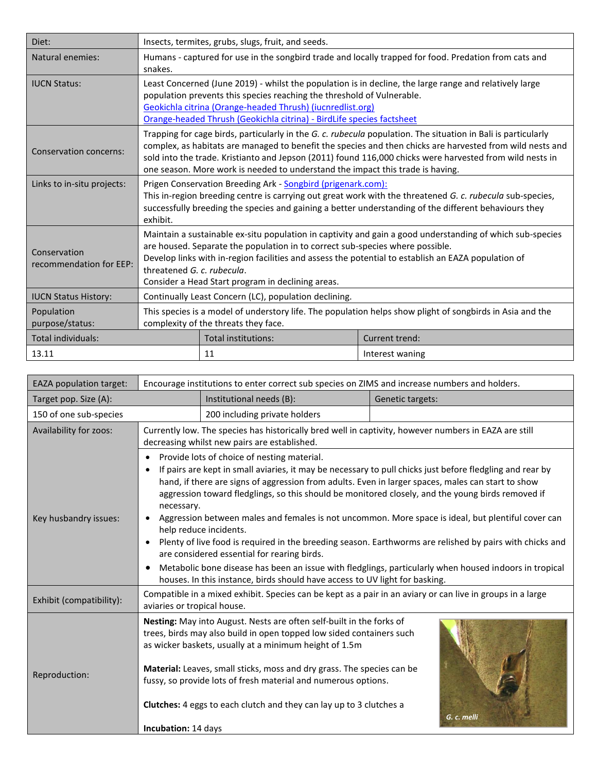| Diet:                                   | Insects, termites, grubs, slugs, fruit, and seeds.                                                                                                                                                                                                                                                                                                                                                                       |                     |                 |  |
|-----------------------------------------|--------------------------------------------------------------------------------------------------------------------------------------------------------------------------------------------------------------------------------------------------------------------------------------------------------------------------------------------------------------------------------------------------------------------------|---------------------|-----------------|--|
| Natural enemies:                        | Humans - captured for use in the songbird trade and locally trapped for food. Predation from cats and<br>snakes.                                                                                                                                                                                                                                                                                                         |                     |                 |  |
| <b>IUCN Status:</b>                     | Least Concerned (June 2019) - whilst the population is in decline, the large range and relatively large<br>population prevents this species reaching the threshold of Vulnerable.<br>Geokichla citrina (Orange-headed Thrush) (iucnredlist.org)<br>Orange-headed Thrush (Geokichla citrina) - BirdLife species factsheet                                                                                                 |                     |                 |  |
| <b>Conservation concerns:</b>           | Trapping for cage birds, particularly in the G. c. rubecula population. The situation in Bali is particularly<br>complex, as habitats are managed to benefit the species and then chicks are harvested from wild nests and<br>sold into the trade. Kristianto and Jepson (2011) found 116,000 chicks were harvested from wild nests in<br>one season. More work is needed to understand the impact this trade is having. |                     |                 |  |
| Links to in-situ projects:              | Prigen Conservation Breeding Ark - Songbird (prigenark.com):<br>This in-region breeding centre is carrying out great work with the threatened G. c. rubecula sub-species,<br>successfully breeding the species and gaining a better understanding of the different behaviours they<br>exhibit.                                                                                                                           |                     |                 |  |
| Conservation<br>recommendation for EEP: | Maintain a sustainable ex-situ population in captivity and gain a good understanding of which sub-species<br>are housed. Separate the population in to correct sub-species where possible.<br>Develop links with in-region facilities and assess the potential to establish an EAZA population of<br>threatened G. c. rubecula.<br>Consider a Head Start program in declining areas.                                     |                     |                 |  |
| <b>IUCN Status History:</b>             | Continually Least Concern (LC), population declining.                                                                                                                                                                                                                                                                                                                                                                    |                     |                 |  |
| Population<br>purpose/status:           | This species is a model of understory life. The population helps show plight of songbirds in Asia and the<br>complexity of the threats they face.                                                                                                                                                                                                                                                                        |                     |                 |  |
| Total individuals:                      |                                                                                                                                                                                                                                                                                                                                                                                                                          | Total institutions: | Current trend:  |  |
| 13.11                                   |                                                                                                                                                                                                                                                                                                                                                                                                                          | 11                  | Interest waning |  |

| <b>EAZA population target:</b> | Encourage institutions to enter correct sub species on ZIMS and increase numbers and holders.                                                                                                                                                                                                                                                                                                                                                                                                                                                                                                                                                                                                                                                                                                                                                                                        |                                                                                                                                                                                                                                                                                                                                                                                                                           |                  |  |
|--------------------------------|--------------------------------------------------------------------------------------------------------------------------------------------------------------------------------------------------------------------------------------------------------------------------------------------------------------------------------------------------------------------------------------------------------------------------------------------------------------------------------------------------------------------------------------------------------------------------------------------------------------------------------------------------------------------------------------------------------------------------------------------------------------------------------------------------------------------------------------------------------------------------------------|---------------------------------------------------------------------------------------------------------------------------------------------------------------------------------------------------------------------------------------------------------------------------------------------------------------------------------------------------------------------------------------------------------------------------|------------------|--|
| Target pop. Size (A):          |                                                                                                                                                                                                                                                                                                                                                                                                                                                                                                                                                                                                                                                                                                                                                                                                                                                                                      | Institutional needs (B):                                                                                                                                                                                                                                                                                                                                                                                                  | Genetic targets: |  |
| 150 of one sub-species         |                                                                                                                                                                                                                                                                                                                                                                                                                                                                                                                                                                                                                                                                                                                                                                                                                                                                                      | 200 including private holders                                                                                                                                                                                                                                                                                                                                                                                             |                  |  |
| Availability for zoos:         | Currently low. The species has historically bred well in captivity, however numbers in EAZA are still<br>decreasing whilst new pairs are established.                                                                                                                                                                                                                                                                                                                                                                                                                                                                                                                                                                                                                                                                                                                                |                                                                                                                                                                                                                                                                                                                                                                                                                           |                  |  |
| Key husbandry issues:          | • Provide lots of choice of nesting material.<br>If pairs are kept in small aviaries, it may be necessary to pull chicks just before fledgling and rear by<br>hand, if there are signs of aggression from adults. Even in larger spaces, males can start to show<br>aggression toward fledglings, so this should be monitored closely, and the young birds removed if<br>necessary.<br>Aggression between males and females is not uncommon. More space is ideal, but plentiful cover can<br>help reduce incidents.<br>Plenty of live food is required in the breeding season. Earthworms are relished by pairs with chicks and<br>are considered essential for rearing birds.<br>Metabolic bone disease has been an issue with fledglings, particularly when housed indoors in tropical<br>$\bullet$<br>houses. In this instance, birds should have access to UV light for basking. |                                                                                                                                                                                                                                                                                                                                                                                                                           |                  |  |
| Exhibit (compatibility):       | Compatible in a mixed exhibit. Species can be kept as a pair in an aviary or can live in groups in a large<br>aviaries or tropical house.                                                                                                                                                                                                                                                                                                                                                                                                                                                                                                                                                                                                                                                                                                                                            |                                                                                                                                                                                                                                                                                                                                                                                                                           |                  |  |
| Reproduction:                  | <b>Incubation: 14 days</b>                                                                                                                                                                                                                                                                                                                                                                                                                                                                                                                                                                                                                                                                                                                                                                                                                                                           | Nesting: May into August. Nests are often self-built in the forks of<br>trees, birds may also build in open topped low sided containers such<br>as wicker baskets, usually at a minimum height of 1.5m<br>Material: Leaves, small sticks, moss and dry grass. The species can be<br>fussy, so provide lots of fresh material and numerous options.<br>Clutches: 4 eggs to each clutch and they can lay up to 3 clutches a | G. c. melli      |  |